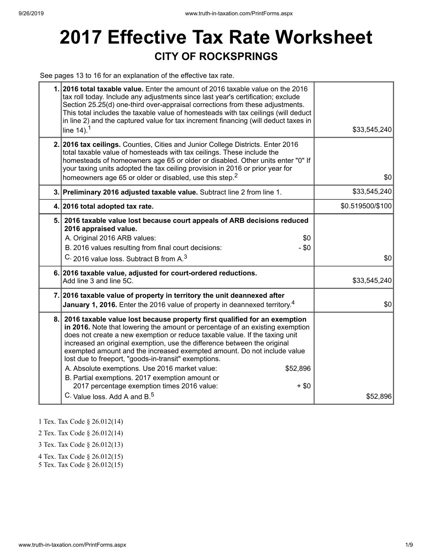# **2017 Effective Tax Rate Worksheet CITY OF ROCKSPRINGS**

See pages 13 to 16 for an explanation of the effective tax rate.

|    | 1. 2016 total taxable value. Enter the amount of 2016 taxable value on the 2016<br>tax roll today. Include any adjustments since last year's certification; exclude<br>Section 25.25(d) one-third over-appraisal corrections from these adjustments.<br>This total includes the taxable value of homesteads with tax ceilings (will deduct<br>in line 2) and the captured value for tax increment financing (will deduct taxes in<br>line $14$ ). <sup>1</sup>                                                                                                                                                                                                                 | \$33,545,240     |
|----|--------------------------------------------------------------------------------------------------------------------------------------------------------------------------------------------------------------------------------------------------------------------------------------------------------------------------------------------------------------------------------------------------------------------------------------------------------------------------------------------------------------------------------------------------------------------------------------------------------------------------------------------------------------------------------|------------------|
|    | 2. 2016 tax ceilings. Counties, Cities and Junior College Districts. Enter 2016<br>total taxable value of homesteads with tax ceilings. These include the<br>homesteads of homeowners age 65 or older or disabled. Other units enter "0" If<br>your taxing units adopted the tax ceiling provision in 2016 or prior year for<br>homeowners age 65 or older or disabled, use this step. <sup>2</sup>                                                                                                                                                                                                                                                                            | \$0              |
|    | 3. Preliminary 2016 adjusted taxable value. Subtract line 2 from line 1.                                                                                                                                                                                                                                                                                                                                                                                                                                                                                                                                                                                                       | \$33,545,240     |
|    | 4. 2016 total adopted tax rate.                                                                                                                                                                                                                                                                                                                                                                                                                                                                                                                                                                                                                                                | \$0.519500/\$100 |
|    | 5. 2016 taxable value lost because court appeals of ARB decisions reduced<br>2016 appraised value.<br>A. Original 2016 ARB values:<br>\$0<br>B. 2016 values resulting from final court decisions:<br>$-$ \$0<br>C. 2016 value loss. Subtract B from A. <sup>3</sup>                                                                                                                                                                                                                                                                                                                                                                                                            | \$0              |
|    | 6. 2016 taxable value, adjusted for court-ordered reductions.<br>Add line 3 and line 5C.                                                                                                                                                                                                                                                                                                                                                                                                                                                                                                                                                                                       | \$33,545,240     |
|    | 7. 2016 taxable value of property in territory the unit deannexed after<br>January 1, 2016. Enter the 2016 value of property in deannexed territory. <sup>4</sup>                                                                                                                                                                                                                                                                                                                                                                                                                                                                                                              | \$0              |
| 8. | 2016 taxable value lost because property first qualified for an exemption<br>in 2016. Note that lowering the amount or percentage of an existing exemption<br>does not create a new exemption or reduce taxable value. If the taxing unit<br>increased an original exemption, use the difference between the original<br>exempted amount and the increased exempted amount. Do not include value<br>lost due to freeport, "goods-in-transit" exemptions.<br>A. Absolute exemptions. Use 2016 market value:<br>\$52,896<br>B. Partial exemptions. 2017 exemption amount or<br>2017 percentage exemption times 2016 value:<br>$+ $0$<br>C. Value loss, Add A and B. <sup>5</sup> | \$52,896         |

1 Tex. Tax Code § 26.012(14)

2 Tex. Tax Code § 26.012(14)

3 Tex. Tax Code § 26.012(13)

4 Tex. Tax Code § 26.012(15)

5 Tex. Tax Code § 26.012(15)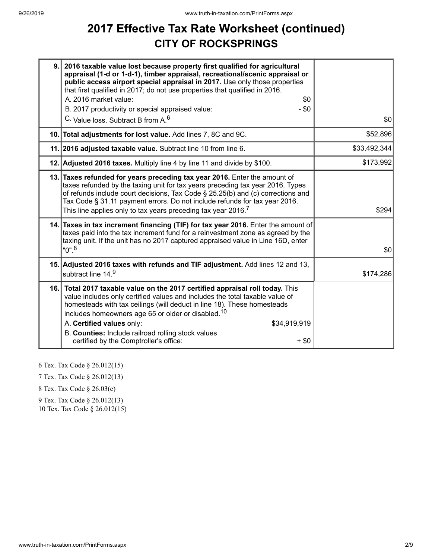# **2017 Effective Tax Rate Worksheet (continued) CITY OF ROCKSPRINGS**

| 9. | 2016 taxable value lost because property first qualified for agricultural<br>appraisal (1-d or 1-d-1), timber appraisal, recreational/scenic appraisal or<br>public access airport special appraisal in 2017. Use only those properties<br>that first qualified in 2017; do not use properties that qualified in 2016.<br>A. 2016 market value:<br>\$0<br>B. 2017 productivity or special appraised value:<br>$-$ \$0<br>C. Value loss. Subtract B from A. <sup>6</sup> | \$0          |
|----|-------------------------------------------------------------------------------------------------------------------------------------------------------------------------------------------------------------------------------------------------------------------------------------------------------------------------------------------------------------------------------------------------------------------------------------------------------------------------|--------------|
|    | 10. Total adjustments for lost value. Add lines 7, 8C and 9C.                                                                                                                                                                                                                                                                                                                                                                                                           | \$52,896     |
|    | 11. 2016 adjusted taxable value. Subtract line 10 from line 6.                                                                                                                                                                                                                                                                                                                                                                                                          | \$33,492,344 |
|    | 12. Adjusted 2016 taxes. Multiply line 4 by line 11 and divide by \$100.                                                                                                                                                                                                                                                                                                                                                                                                | \$173,992    |
|    | 13. Taxes refunded for years preceding tax year 2016. Enter the amount of<br>taxes refunded by the taxing unit for tax years preceding tax year 2016. Types<br>of refunds include court decisions, Tax Code § 25.25(b) and (c) corrections and<br>Tax Code § 31.11 payment errors. Do not include refunds for tax year 2016.<br>This line applies only to tax years preceding tax year 2016. $^7\,$                                                                     | \$294        |
|    | 14. Taxes in tax increment financing (TIF) for tax year 2016. Enter the amount of<br>taxes paid into the tax increment fund for a reinvestment zone as agreed by the<br>taxing unit. If the unit has no 2017 captured appraised value in Line 16D, enter<br>"0". <sup>8</sup>                                                                                                                                                                                           | \$0          |
|    | 15. Adjusted 2016 taxes with refunds and TIF adjustment. Add lines 12 and 13,<br>subtract line 14.9                                                                                                                                                                                                                                                                                                                                                                     | \$174,286    |
|    | 16. Total 2017 taxable value on the 2017 certified appraisal roll today. This<br>value includes only certified values and includes the total taxable value of<br>homesteads with tax ceilings (will deduct in line 18). These homesteads<br>includes homeowners age 65 or older or disabled. <sup>10</sup><br>A. Certified values only:<br>\$34,919,919<br>B. Counties: Include railroad rolling stock values<br>certified by the Comptroller's office:<br>$+$ \$0      |              |

6 Tex. Tax Code § 26.012(15)

7 Tex. Tax Code § 26.012(13)

8 Tex. Tax Code § 26.03(c)

9 Tex. Tax Code § 26.012(13)

10 Tex. Tax Code § 26.012(15)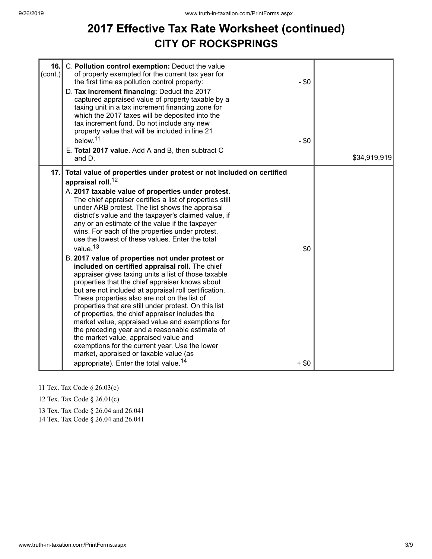# **2017 Effective Tax Rate Worksheet (continued) CITY OF ROCKSPRINGS**

| 16.<br>$\text{(cont.)}$ | C. Pollution control exemption: Deduct the value<br>of property exempted for the current tax year for<br>the first time as pollution control property:<br>D. Tax increment financing: Deduct the 2017<br>captured appraised value of property taxable by a<br>taxing unit in a tax increment financing zone for<br>which the 2017 taxes will be deposited into the<br>tax increment fund. Do not include any new<br>property value that will be included in line 21<br>below. <sup>11</sup><br>E. Total 2017 value. Add A and B, then subtract C<br>and D.                                                                                                                                                                                                                                                                                                                                                                                                                                                                                                                                                                                                                                                                                                    | $-$ \$0<br>$-$ \$0 | \$34,919,919 |
|-------------------------|---------------------------------------------------------------------------------------------------------------------------------------------------------------------------------------------------------------------------------------------------------------------------------------------------------------------------------------------------------------------------------------------------------------------------------------------------------------------------------------------------------------------------------------------------------------------------------------------------------------------------------------------------------------------------------------------------------------------------------------------------------------------------------------------------------------------------------------------------------------------------------------------------------------------------------------------------------------------------------------------------------------------------------------------------------------------------------------------------------------------------------------------------------------------------------------------------------------------------------------------------------------|--------------------|--------------|
| 17.                     | Total value of properties under protest or not included on certified<br>appraisal roll. <sup>12</sup><br>A. 2017 taxable value of properties under protest.<br>The chief appraiser certifies a list of properties still<br>under ARB protest. The list shows the appraisal<br>district's value and the taxpayer's claimed value, if<br>any or an estimate of the value if the taxpayer<br>wins. For each of the properties under protest,<br>use the lowest of these values. Enter the total<br>value. <sup>13</sup><br>B. 2017 value of properties not under protest or<br>included on certified appraisal roll. The chief<br>appraiser gives taxing units a list of those taxable<br>properties that the chief appraiser knows about<br>but are not included at appraisal roll certification.<br>These properties also are not on the list of<br>properties that are still under protest. On this list<br>of properties, the chief appraiser includes the<br>market value, appraised value and exemptions for<br>the preceding year and a reasonable estimate of<br>the market value, appraised value and<br>exemptions for the current year. Use the lower<br>market, appraised or taxable value (as<br>appropriate). Enter the total value. <sup>14</sup> | \$0<br>$+$ \$0     |              |

- 11 Tex. Tax Code § 26.03(c)
- 12 Tex. Tax Code § 26.01(c)
- 13 Tex. Tax Code § 26.04 and 26.041

14 Tex. Tax Code § 26.04 and 26.041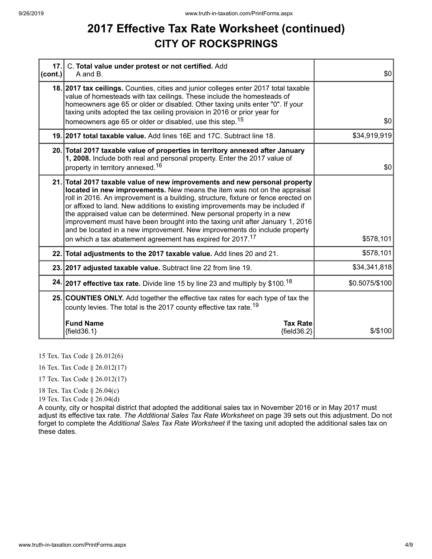## **2017 Effective Tax Rate Worksheet (continued) CITY OF ROCKSPRINGS**

| cont. | 17. C. Total value under protest or not certified. Add<br>A and B.                                                                                                                                                                                                                                                                                                                                                                                                                                                                                                                                                                             | \$0            |
|-------|------------------------------------------------------------------------------------------------------------------------------------------------------------------------------------------------------------------------------------------------------------------------------------------------------------------------------------------------------------------------------------------------------------------------------------------------------------------------------------------------------------------------------------------------------------------------------------------------------------------------------------------------|----------------|
|       | 18. 2017 tax ceilings. Counties, cities and junior colleges enter 2017 total taxable<br>value of homesteads with tax ceilings. These include the homesteads of<br>homeowners age 65 or older or disabled. Other taxing units enter "0". If your<br>taxing units adopted the tax ceiling provision in 2016 or prior year for<br>homeowners age 65 or older or disabled, use this step. <sup>15</sup>                                                                                                                                                                                                                                            | \$0            |
|       | 19. 2017 total taxable value. Add lines 16E and 17C. Subtract line 18.                                                                                                                                                                                                                                                                                                                                                                                                                                                                                                                                                                         | \$34,919,919   |
|       | 20. Total 2017 taxable value of properties in territory annexed after January<br>1, 2008. Include both real and personal property. Enter the 2017 value of<br>property in territory annexed. <sup>16</sup>                                                                                                                                                                                                                                                                                                                                                                                                                                     | \$0            |
|       | 21. Total 2017 taxable value of new improvements and new personal property<br>located in new improvements. New means the item was not on the appraisal<br>roll in 2016. An improvement is a building, structure, fixture or fence erected on<br>or affixed to land. New additions to existing improvements may be included if<br>the appraised value can be determined. New personal property in a new<br>improvement must have been brought into the taxing unit after January 1, 2016<br>and be located in a new improvement. New improvements do include property<br>on which a tax abatement agreement has expired for 2017. <sup>17</sup> | \$578,101      |
|       | 22. Total adjustments to the 2017 taxable value. Add lines 20 and 21.                                                                                                                                                                                                                                                                                                                                                                                                                                                                                                                                                                          | \$578,101      |
|       | 23. 2017 adjusted taxable value. Subtract line 22 from line 19.                                                                                                                                                                                                                                                                                                                                                                                                                                                                                                                                                                                | \$34,341,818   |
|       | 24. 2017 effective tax rate. Divide line 15 by line 23 and multiply by \$100. <sup>18</sup>                                                                                                                                                                                                                                                                                                                                                                                                                                                                                                                                                    | \$0.5075/\$100 |
|       | 25. COUNTIES ONLY. Add together the effective tax rates for each type of tax the<br>county levies. The total is the 2017 county effective tax rate. <sup>19</sup>                                                                                                                                                                                                                                                                                                                                                                                                                                                                              |                |
|       | <b>Fund Name</b><br><b>Tax Rate</b><br>${fields.1}$<br>${field36.2}$                                                                                                                                                                                                                                                                                                                                                                                                                                                                                                                                                                           | \$/\$100       |

15 Tex. Tax Code § 26.012(6)

16 Tex. Tax Code § 26.012(17)

17 Tex. Tax Code § 26.012(17)

18 Tex. Tax Code § 26.04(c)

19 Tex. Tax Code § 26.04(d)

A county, city or hospital district that adopted the additional sales tax in November 2016 or in May 2017 must adjust its effective tax rate. *The Additional Sales Tax Rate Worksheet* on page 39 sets out this adjustment. Do not forget to complete the *Additional Sales Tax Rate Worksheet* if the taxing unit adopted the additional sales tax on these dates.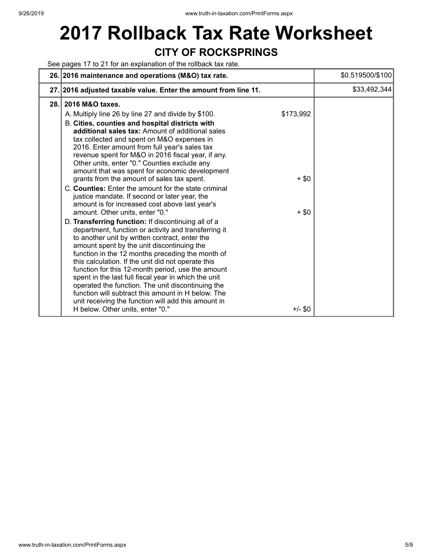# **2017 Rollback Tax Rate Worksheet CITY OF ROCKSPRINGS**

See pages 17 to 21 for an explanation of the rollback tax rate.

|      | 26. 2016 maintenance and operations (M&O) tax rate.                                                                                                                                                                                                                                                                                                                                                                                                                                                                                                                                                                                                                                                                                                                                                                                                                                                                                                                                                                                                                                                                                                                                                                                                                                                                                                                          | \$0.519500/\$100 |
|------|------------------------------------------------------------------------------------------------------------------------------------------------------------------------------------------------------------------------------------------------------------------------------------------------------------------------------------------------------------------------------------------------------------------------------------------------------------------------------------------------------------------------------------------------------------------------------------------------------------------------------------------------------------------------------------------------------------------------------------------------------------------------------------------------------------------------------------------------------------------------------------------------------------------------------------------------------------------------------------------------------------------------------------------------------------------------------------------------------------------------------------------------------------------------------------------------------------------------------------------------------------------------------------------------------------------------------------------------------------------------------|------------------|
|      | 27. 2016 adjusted taxable value. Enter the amount from line 11.                                                                                                                                                                                                                                                                                                                                                                                                                                                                                                                                                                                                                                                                                                                                                                                                                                                                                                                                                                                                                                                                                                                                                                                                                                                                                                              | \$33,492,344     |
| 28.1 | 2016 M&O taxes.<br>\$173,992<br>A. Multiply line 26 by line 27 and divide by \$100.<br>B. Cities, counties and hospital districts with<br>additional sales tax: Amount of additional sales<br>tax collected and spent on M&O expenses in<br>2016. Enter amount from full year's sales tax<br>revenue spent for M&O in 2016 fiscal year, if any.<br>Other units, enter "0." Counties exclude any<br>amount that was spent for economic development<br>grants from the amount of sales tax spent.<br>$+$ \$0<br>C. Counties: Enter the amount for the state criminal<br>justice mandate. If second or later year, the<br>amount is for increased cost above last year's<br>amount. Other units, enter "0."<br>$+$ \$0<br>D. Transferring function: If discontinuing all of a<br>department, function or activity and transferring it<br>to another unit by written contract, enter the<br>amount spent by the unit discontinuing the<br>function in the 12 months preceding the month of<br>this calculation. If the unit did not operate this<br>function for this 12-month period, use the amount<br>spent in the last full fiscal year in which the unit<br>operated the function. The unit discontinuing the<br>function will subtract this amount in H below. The<br>unit receiving the function will add this amount in<br>$+/-$ \$0<br>H below. Other units, enter "0." |                  |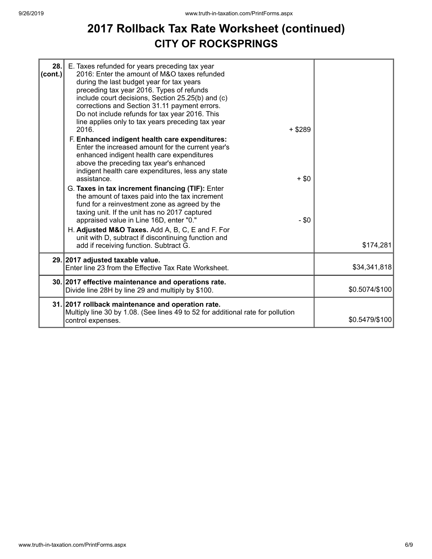### **2017 Rollback Tax Rate Worksheet (continued) CITY OF ROCKSPRINGS**

| 28.<br>(cont.) | E. Taxes refunded for years preceding tax year<br>2016: Enter the amount of M&O taxes refunded<br>during the last budget year for tax years<br>preceding tax year 2016. Types of refunds<br>include court decisions, Section 25.25(b) and (c)<br>corrections and Section 31.11 payment errors.<br>Do not include refunds for tax year 2016. This<br>line applies only to tax years preceding tax year<br>2016.<br>F. Enhanced indigent health care expenditures:<br>Enter the increased amount for the current year's<br>enhanced indigent health care expenditures<br>above the preceding tax year's enhanced<br>indigent health care expenditures, less any state<br>assistance.<br>G. Taxes in tax increment financing (TIF): Enter<br>the amount of taxes paid into the tax increment<br>fund for a reinvestment zone as agreed by the<br>taxing unit. If the unit has no 2017 captured<br>appraised value in Line 16D, enter "0."<br>H. Adjusted M&O Taxes. Add A, B, C, E and F. For<br>unit with D, subtract if discontinuing function and | $+$ \$289<br>$+$ \$0<br>$-$ \$0 |                |
|----------------|---------------------------------------------------------------------------------------------------------------------------------------------------------------------------------------------------------------------------------------------------------------------------------------------------------------------------------------------------------------------------------------------------------------------------------------------------------------------------------------------------------------------------------------------------------------------------------------------------------------------------------------------------------------------------------------------------------------------------------------------------------------------------------------------------------------------------------------------------------------------------------------------------------------------------------------------------------------------------------------------------------------------------------------------------|---------------------------------|----------------|
|                | add if receiving function. Subtract G.<br>29. 2017 adjusted taxable value.                                                                                                                                                                                                                                                                                                                                                                                                                                                                                                                                                                                                                                                                                                                                                                                                                                                                                                                                                                        |                                 | \$174,281      |
|                | Enter line 23 from the Effective Tax Rate Worksheet.                                                                                                                                                                                                                                                                                                                                                                                                                                                                                                                                                                                                                                                                                                                                                                                                                                                                                                                                                                                              |                                 | \$34,341,818   |
|                | 30. 2017 effective maintenance and operations rate.<br>Divide line 28H by line 29 and multiply by \$100.                                                                                                                                                                                                                                                                                                                                                                                                                                                                                                                                                                                                                                                                                                                                                                                                                                                                                                                                          |                                 | \$0.5074/\$100 |
|                | 31. 2017 rollback maintenance and operation rate.<br>Multiply line 30 by 1.08. (See lines 49 to 52 for additional rate for pollution<br>control expenses.                                                                                                                                                                                                                                                                                                                                                                                                                                                                                                                                                                                                                                                                                                                                                                                                                                                                                         |                                 | \$0.5479/\$100 |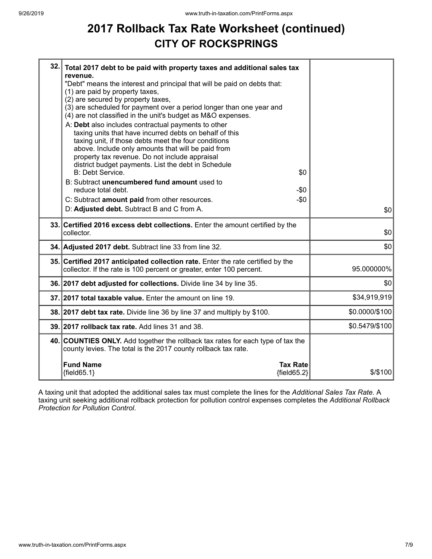# **2017 Rollback Tax Rate Worksheet (continued) CITY OF ROCKSPRINGS**

| 32. Total 2017 debt to be paid with property taxes and additional sales tax<br>revenue.<br>"Debt" means the interest and principal that will be paid on debts that:<br>(1) are paid by property taxes,<br>(2) are secured by property taxes,<br>(3) are scheduled for payment over a period longer than one year and<br>(4) are not classified in the unit's budget as M&O expenses.<br>A: Debt also includes contractual payments to other<br>taxing units that have incurred debts on behalf of this<br>taxing unit, if those debts meet the four conditions<br>above. Include only amounts that will be paid from<br>property tax revenue. Do not include appraisal<br>district budget payments. List the debt in Schedule |                |
|-------------------------------------------------------------------------------------------------------------------------------------------------------------------------------------------------------------------------------------------------------------------------------------------------------------------------------------------------------------------------------------------------------------------------------------------------------------------------------------------------------------------------------------------------------------------------------------------------------------------------------------------------------------------------------------------------------------------------------|----------------|
| <b>B: Debt Service.</b><br>\$0<br>B: Subtract unencumbered fund amount used to                                                                                                                                                                                                                                                                                                                                                                                                                                                                                                                                                                                                                                                |                |
| reduce total debt.<br>-\$0                                                                                                                                                                                                                                                                                                                                                                                                                                                                                                                                                                                                                                                                                                    |                |
| C: Subtract amount paid from other resources.<br>$-\$0$<br>D: Adjusted debt. Subtract B and C from A.                                                                                                                                                                                                                                                                                                                                                                                                                                                                                                                                                                                                                         |                |
|                                                                                                                                                                                                                                                                                                                                                                                                                                                                                                                                                                                                                                                                                                                               | \$0            |
| 33. Certified 2016 excess debt collections. Enter the amount certified by the<br>collector.                                                                                                                                                                                                                                                                                                                                                                                                                                                                                                                                                                                                                                   | \$0            |
| 34. Adjusted 2017 debt. Subtract line 33 from line 32.                                                                                                                                                                                                                                                                                                                                                                                                                                                                                                                                                                                                                                                                        | \$0            |
| 35. Certified 2017 anticipated collection rate. Enter the rate certified by the<br>collector. If the rate is 100 percent or greater, enter 100 percent.                                                                                                                                                                                                                                                                                                                                                                                                                                                                                                                                                                       | 95.000000%     |
| 36. 2017 debt adjusted for collections. Divide line 34 by line 35.                                                                                                                                                                                                                                                                                                                                                                                                                                                                                                                                                                                                                                                            | \$0            |
| 37. 2017 total taxable value. Enter the amount on line 19.                                                                                                                                                                                                                                                                                                                                                                                                                                                                                                                                                                                                                                                                    | \$34,919,919   |
| 38. 2017 debt tax rate. Divide line 36 by line 37 and multiply by \$100.                                                                                                                                                                                                                                                                                                                                                                                                                                                                                                                                                                                                                                                      | \$0.0000/\$100 |
| 39. 2017 rollback tax rate. Add lines 31 and 38.                                                                                                                                                                                                                                                                                                                                                                                                                                                                                                                                                                                                                                                                              | \$0.5479/\$100 |
| 40. COUNTIES ONLY. Add together the rollback tax rates for each type of tax the<br>county levies. The total is the 2017 county rollback tax rate.                                                                                                                                                                                                                                                                                                                                                                                                                                                                                                                                                                             |                |
| <b>Fund Name</b><br><b>Tax Rate</b><br>${fields2}$<br>${field65.1}$                                                                                                                                                                                                                                                                                                                                                                                                                                                                                                                                                                                                                                                           | $$$ /\$100     |

A taxing unit that adopted the additional sales tax must complete the lines for the *Additional Sales Tax Rate*. A taxing unit seeking additional rollback protection for pollution control expenses completes the *Additional Rollback Protection for Pollution Control*.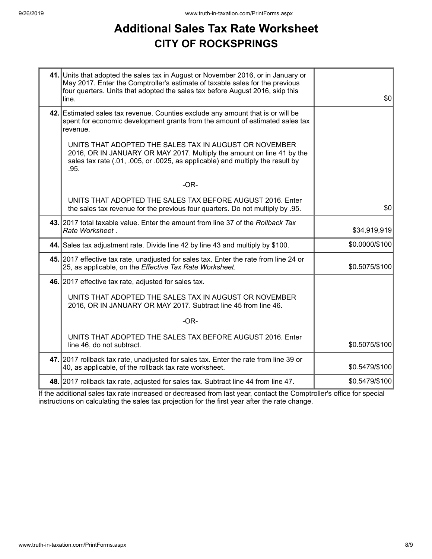# **Additional Sales Tax Rate Worksheet CITY OF ROCKSPRINGS**

| 41. Units that adopted the sales tax in August or November 2016, or in January or<br>May 2017. Enter the Comptroller's estimate of taxable sales for the previous<br>four quarters. Units that adopted the sales tax before August 2016, skip this<br>line. | \$0            |
|-------------------------------------------------------------------------------------------------------------------------------------------------------------------------------------------------------------------------------------------------------------|----------------|
| 42. Estimated sales tax revenue. Counties exclude any amount that is or will be<br>spent for economic development grants from the amount of estimated sales tax<br>revenue.                                                                                 |                |
| UNITS THAT ADOPTED THE SALES TAX IN AUGUST OR NOVEMBER<br>2016, OR IN JANUARY OR MAY 2017. Multiply the amount on line 41 by the<br>sales tax rate (.01, .005, or .0025, as applicable) and multiply the result by<br>.95.                                  |                |
| $-OR-$                                                                                                                                                                                                                                                      |                |
| UNITS THAT ADOPTED THE SALES TAX BEFORE AUGUST 2016. Enter<br>the sales tax revenue for the previous four quarters. Do not multiply by .95.                                                                                                                 | \$0            |
| 43. 2017 total taxable value. Enter the amount from line 37 of the Rollback Tax<br>Rate Worksheet.                                                                                                                                                          | \$34,919,919   |
| 44. Sales tax adjustment rate. Divide line 42 by line 43 and multiply by \$100.                                                                                                                                                                             | \$0.0000/\$100 |
| 45. 2017 effective tax rate, unadjusted for sales tax. Enter the rate from line 24 or<br>25, as applicable, on the Effective Tax Rate Worksheet.                                                                                                            | \$0.5075/\$100 |
| 46. 2017 effective tax rate, adjusted for sales tax.                                                                                                                                                                                                        |                |
| UNITS THAT ADOPTED THE SALES TAX IN AUGUST OR NOVEMBER<br>2016, OR IN JANUARY OR MAY 2017. Subtract line 45 from line 46.                                                                                                                                   |                |
| $-OR-$                                                                                                                                                                                                                                                      |                |
| UNITS THAT ADOPTED THE SALES TAX BEFORE AUGUST 2016. Enter<br>line 46, do not subtract.                                                                                                                                                                     | \$0.5075/\$100 |
| 47. 2017 rollback tax rate, unadjusted for sales tax. Enter the rate from line 39 or<br>40, as applicable, of the rollback tax rate worksheet.                                                                                                              | \$0.5479/\$100 |
| 48. 2017 rollback tax rate, adjusted for sales tax. Subtract line 44 from line 47.                                                                                                                                                                          | \$0.5479/\$100 |

If the additional sales tax rate increased or decreased from last year, contact the Comptroller's office for special instructions on calculating the sales tax projection for the first year after the rate change.